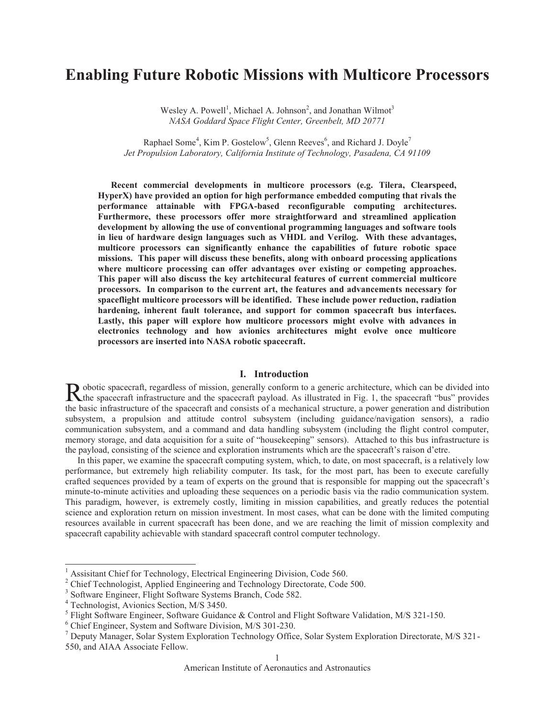# **Enabling Future Robotic Missions with Multicore Processors**

Wesley A. Powell<sup>1</sup>, Michael A. Johnson<sup>2</sup>, and Jonathan Wilmot<sup>3</sup> *NASA Goddard Space Flight Center, Greenbelt, MD 20771* 

Raphael Some<sup>4</sup>, Kim P. Gostelow<sup>5</sup>, Glenn Reeves<sup>6</sup>, and Richard J. Doyle<sup>7</sup> *Jet Propulsion Laboratory, California Institute of Technology, Pasadena, CA 91109* 

**Recent commercial developments in multicore processors (e.g. Tilera, Clearspeed, HyperX) have provided an option for high performance embedded computing that rivals the performance attainable with FPGA-based reconfigurable computing architectures. Furthermore, these processors offer more straightforward and streamlined application development by allowing the use of conventional programming languages and software tools in lieu of hardware design languages such as VHDL and Verilog. With these advantages, multicore processors can significantly enhance the capabilities of future robotic space missions. This paper will discuss these benefits, along with onboard processing applications where multicore processing can offer advantages over existing or competing approaches. This paper will also discuss the key artchitecural features of current commercial multicore processors. In comparison to the current art, the features and advancements necessary for spaceflight multicore processors will be identified. These include power reduction, radiation hardening, inherent fault tolerance, and support for common spacecraft bus interfaces. Lastly, this paper will explore how multicore processors might evolve with advances in electronics technology and how avionics architectures might evolve once multicore processors are inserted into NASA robotic spacecraft.** 

# **I. Introduction**

obotic spacecraft, regardless of mission, generally conform to a generic architecture, which can be divided into Robotic spacecraft, regardless of mission, generally conform to a generic architecture, which can be divided into the spacecraft infrastructure and the spacecraft payload. As illustrated in Fig. 1, the spacecraft "bus" pro the basic infrastructure of the spacecraft and consists of a mechanical structure, a power generation and distribution subsystem, a propulsion and attitude control subsystem (including guidance/navigation sensors), a radio communication subsystem, and a command and data handling subsystem (including the flight control computer, memory storage, and data acquisition for a suite of "housekeeping" sensors). Attached to this bus infrastructure is the payload, consisting of the science and exploration instruments which are the spacecraft's raison d'etre.

In this paper, we examine the spacecraft computing system, which, to date, on most spacecraft, is a relatively low performance, but extremely high reliability computer. Its task, for the most part, has been to execute carefully crafted sequences provided by a team of experts on the ground that is responsible for mapping out the spacecraft's minute-to-minute activities and uploading these sequences on a periodic basis via the radio communication system. This paradigm, however, is extremely costly, limiting in mission capabilities, and greatly reduces the potential science and exploration return on mission investment. In most cases, what can be done with the limited computing resources available in current spacecraft has been done, and we are reaching the limit of mission complexity and spacecraft capability achievable with standard spacecraft control computer technology.

 $\overline{a}$ 

<sup>1</sup> Assisitant Chief for Technology, Electrical Engineering Division, Code 560.

<sup>&</sup>lt;sup>2</sup> Chief Technologist, Applied Engineering and Technology Directorate, Code 500.

<sup>3</sup> Software Engineer, Flight Software Systems Branch, Code 582.

<sup>4</sup> Technologist, Avionics Section, M/S 3450.

<sup>&</sup>lt;sup>5</sup> Flight Software Engineer, Software Guidance & Control and Flight Software Validation, M/S 321-150.

Chief Engineer, System and Software Division, M/S 301-230.

<sup>7</sup> Deputy Manager, Solar System Exploration Technology Office, Solar System Exploration Directorate, M/S 321- 550, and AIAA Associate Fellow.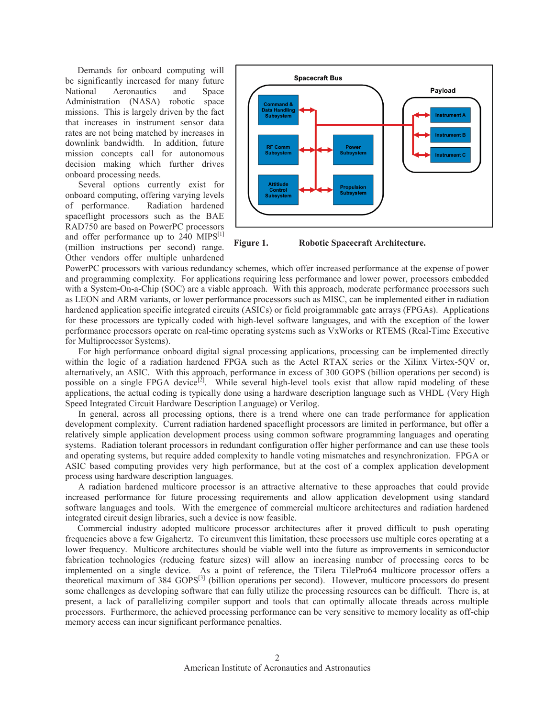Demands for onboard computing will be significantly increased for many future National Aeronautics and Space Administration (NASA) robotic space missions. This is largely driven by the fact that increases in instrument sensor data rates are not being matched by increases in downlink bandwidth. In addition, future mission concepts call for autonomous decision making which further drives onboard processing needs.

Several options currently exist for onboard computing, offering varying levels of performance. Radiation hardened spaceflight processors such as the BAE RAD750 are based on PowerPC processors and offer performance up to 240  $MIPS^{[1]}$ (million instructions per second) range. Other vendors offer multiple unhardened



**Figure 1. Robotic Spacecraft Architecture.** 

PowerPC processors with various redundancy schemes, which offer increased performance at the expense of power and programming complexity. For applications requiring less performance and lower power, processors embedded with a System-On-a-Chip (SOC) are a viable approach. With this approach, moderate performance processors such as LEON and ARM variants, or lower performance processors such as MISC, can be implemented either in radiation hardened application specific integrated circuits (ASICs) or field proigrammable gate arrays (FPGAs). Applications for these processors are typically coded with high-level software languages, and with the exception of the lower performance processors operate on real-time operating systems such as VxWorks or RTEMS (Real-Time Executive for Multiprocessor Systems).

For high performance onboard digital signal processing applications, processing can be implemented directly within the logic of a radiation hardened FPGA such as the Actel RTAX series or the Xilinx Virtex-5QV or, alternatively, an ASIC. With this approach, performance in excess of 300 GOPS (billion operations per second) is possible on a single FPGA device<sup>[2]</sup>. While several high-level tools exist that allow rapid modeling of these applications, the actual coding is typically done using a hardware description language such as VHDL (Very High Speed Integrated Circuit Hardware Description Language) or Verilog.

In general, across all processing options, there is a trend where one can trade performance for application development complexity. Current radiation hardened spaceflight processors are limited in performance, but offer a relatively simple application development process using common software programming languages and operating systems. Radiation tolerant processors in redundant configuration offer higher performance and can use these tools and operating systems, but require added complexity to handle voting mismatches and resynchronization. FPGA or ASIC based computing provides very high performance, but at the cost of a complex application development process using hardware description languages.

A radiation hardened multicore processor is an attractive alternative to these approaches that could provide increased performance for future processing requirements and allow application development using standard software languages and tools. With the emergence of commercial multicore architectures and radiation hardened integrated circuit design libraries, such a device is now feasible.

Commercial industry adopted multicore processor architectures after it proved difficult to push operating frequencies above a few Gigahertz. To circumvent this limitation, these processors use multiple cores operating at a lower frequency. Multicore architectures should be viable well into the future as improvements in semiconductor fabrication technologies (reducing feature sizes) will allow an increasing number of processing cores to be implemented on a single device. As a point of reference, the Tilera TilePro64 multicore processor offers a theoretical maximum of 384 GOPS[3] (billion operations per second). However, multicore processors do present some challenges as developing software that can fully utilize the processing resources can be difficult. There is, at present, a lack of parallelizing compiler support and tools that can optimally allocate threads across multiple processors. Furthermore, the achieved processing performance can be very sensitive to memory locality as off-chip memory access can incur significant performance penalties.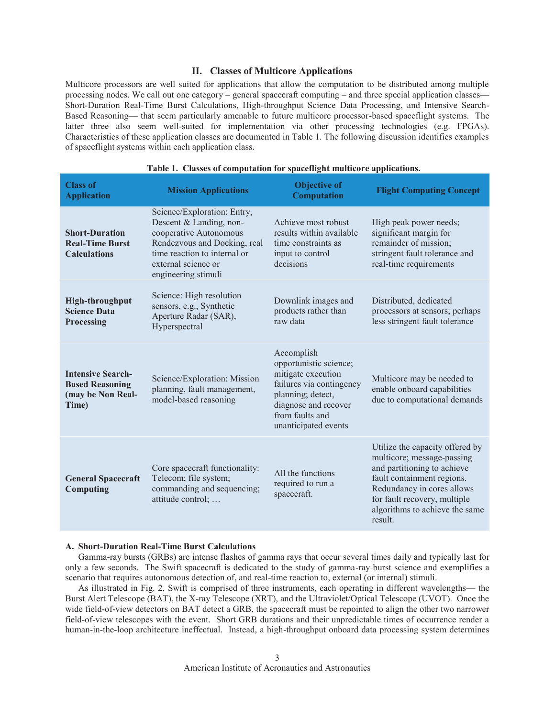# **II. Classes of Multicore Applications**

Multicore processors are well suited for applications that allow the computation to be distributed among multiple processing nodes. We call out one category – general spacecraft computing – and three special application classes— Short-Duration Real-Time Burst Calculations, High-throughput Science Data Processing, and Intensive Search-Based Reasoning— that seem particularly amenable to future multicore processor-based spaceflight systems. The latter three also seem well-suited for implementation via other processing technologies (e.g. FPGAs). Characteristics of these application classes are documented in Table 1. The following discussion identifies examples of spaceflight systems within each application class.

| <b>Class of</b><br><b>Application</b>                                            | <b>Mission Applications</b>                                                                                                                                                                    | <b>Objective of</b><br><b>Computation</b>                                                                                                                                      | <b>Flight Computing Concept</b>                                                                                                                                                                                                       |
|----------------------------------------------------------------------------------|------------------------------------------------------------------------------------------------------------------------------------------------------------------------------------------------|--------------------------------------------------------------------------------------------------------------------------------------------------------------------------------|---------------------------------------------------------------------------------------------------------------------------------------------------------------------------------------------------------------------------------------|
| <b>Short-Duration</b><br><b>Real-Time Burst</b><br><b>Calculations</b>           | Science/Exploration: Entry,<br>Descent & Landing, non-<br>cooperative Autonomous<br>Rendezvous and Docking, real<br>time reaction to internal or<br>external science or<br>engineering stimuli | Achieve most robust<br>results within available<br>time constraints as<br>input to control<br>decisions                                                                        | High peak power needs;<br>significant margin for<br>remainder of mission;<br>stringent fault tolerance and<br>real-time requirements                                                                                                  |
| <b>High-throughput</b><br><b>Science Data</b><br>Processing                      | Science: High resolution<br>sensors, e.g., Synthetic<br>Aperture Radar (SAR),<br>Hyperspectral                                                                                                 | Downlink images and<br>products rather than<br>raw data                                                                                                                        | Distributed, dedicated<br>processors at sensors; perhaps<br>less stringent fault tolerance                                                                                                                                            |
| <b>Intensive Search-</b><br><b>Based Reasoning</b><br>(may be Non Real-<br>Time) | Science/Exploration: Mission<br>planning, fault management,<br>model-based reasoning                                                                                                           | Accomplish<br>opportunistic science;<br>mitigate execution<br>failures via contingency<br>planning; detect,<br>diagnose and recover<br>from faults and<br>unanticipated events | Multicore may be needed to<br>enable onboard capabilities<br>due to computational demands                                                                                                                                             |
| <b>General Spacecraft</b><br>Computing                                           | Core spacecraft functionality:<br>Telecom; file system;<br>commanding and sequencing;<br>attitude control;                                                                                     | All the functions<br>required to run a<br>spacecraft.                                                                                                                          | Utilize the capacity offered by<br>multicore; message-passing<br>and partitioning to achieve<br>fault containment regions.<br>Redundancy in cores allows<br>for fault recovery, multiple<br>algorithms to achieve the same<br>result. |

#### **Table 1. Classes of computation for spaceflight multicore applications.**

# **A. Short-Duration Real-Time Burst Calculations**

Gamma-ray bursts (GRBs) are intense flashes of gamma rays that occur several times daily and typically last for only a few seconds. The Swift spacecraft is dedicated to the study of gamma-ray burst science and exemplifies a scenario that requires autonomous detection of, and real-time reaction to, external (or internal) stimuli.

As illustrated in Fig. 2, Swift is comprised of three instruments, each operating in different wavelengths— the Burst Alert Telescope (BAT), the X-ray Telescope (XRT), and the Ultraviolet/Optical Telescope (UVOT). Once the wide field-of-view detectors on BAT detect a GRB, the spacecraft must be repointed to align the other two narrower field-of-view telescopes with the event. Short GRB durations and their unpredictable times of occurrence render a human-in-the-loop architecture ineffectual. Instead, a high-throughput onboard data processing system determines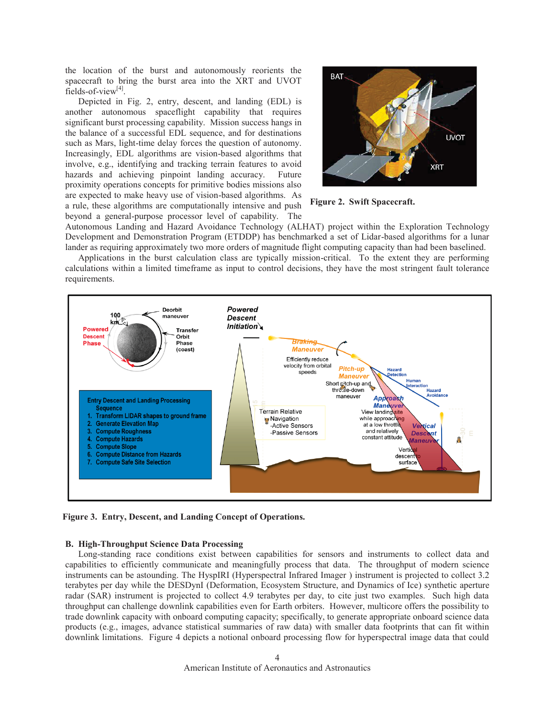the location of the burst and autonomously reorients the spacecraft to bring the burst area into the XRT and UVOT fields-of-view[4].

Depicted in Fig. 2, entry, descent, and landing (EDL) is another autonomous spaceflight capability that requires significant burst processing capability. Mission success hangs in the balance of a successful EDL sequence, and for destinations such as Mars, light-time delay forces the question of autonomy. Increasingly, EDL algorithms are vision-based algorithms that involve, e.g., identifying and tracking terrain features to avoid hazards and achieving pinpoint landing accuracy. Future proximity operations concepts for primitive bodies missions also are expected to make heavy use of vision-based algorithms. As a rule, these algorithms are computationally intensive and push beyond a general-purpose processor level of capability. The



**Figure 2. Swift Spacecraft.** 

Autonomous Landing and Hazard Avoidance Technology (ALHAT) project within the Exploration Technology Development and Demonstration Program (ETDDP) has benchmarked a set of Lidar-based algorithms for a lunar lander as requiring approximately two more orders of magnitude flight computing capacity than had been baselined.

Applications in the burst calculation class are typically mission-critical. To the extent they are performing calculations within a limited timeframe as input to control decisions, they have the most stringent fault tolerance requirements.



**Figure 3. Entry, Descent, and Landing Concept of Operations.** 

#### **B. High-Throughput Science Data Processing**

Long-standing race conditions exist between capabilities for sensors and instruments to collect data and capabilities to efficiently communicate and meaningfully process that data. The throughput of modern science instruments can be astounding. The HyspIRI (Hyperspectral Infrared Imager ) instrument is projected to collect 3.2 terabytes per day while the DESDynI (Deformation, Ecosystem Structure, and Dynamics of Ice) synthetic aperture radar (SAR) instrument is projected to collect 4.9 terabytes per day, to cite just two examples. Such high data throughput can challenge downlink capabilities even for Earth orbiters. However, multicore offers the possibility to trade downlink capacity with onboard computing capacity; specifically, to generate appropriate onboard science data products (e.g., images, advance statistical summaries of raw data) with smaller data footprints that can fit within downlink limitations. Figure 4 depicts a notional onboard processing flow for hyperspectral image data that could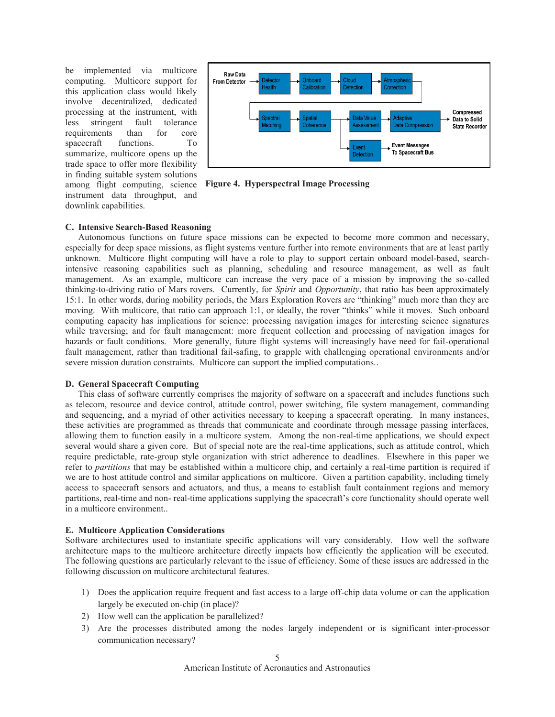be implemented via multicore computing. Multicore support for this application class would likely involve decentralized, dedicated processing at the instrument, with less stringent fault tolerance requirements than for core spacecraft functions. To summarize, multicore opens up the trade space to offer more flexibility in finding suitable system solutions among flight computing, science instrument data throughput, and downlink capabilities.



**Figure 4. Hyperspectral Image Processing** 

## **C. Intensive Search-Based Reasoning**

Autonomous functions on future space missions can be expected to become more common and necessary, especially for deep space missions, as flight systems venture further into remote environments that are at least partly unknown. Multicore flight computing will have a role to play to support certain onboard model-based, searchintensive reasoning capabilities such as planning, scheduling and resource management, as well as fault management. As an example, multicore can increase the very pace of a mission by improving the so-called thinking-to-driving ratio of Mars rovers. Currently, for *Spirit* and *Opportunity*, that ratio has been approximately 15:1. In other words, during mobility periods, the Mars Exploration Rovers are "thinking" much more than they are moving. With multicore, that ratio can approach 1:1, or ideally, the rover "thinks" while it moves. Such onboard computing capacity has implications for science: processing navigation images for interesting science signatures while traversing; and for fault management: more frequent collection and processing of navigation images for hazards or fault conditions. More generally, future flight systems will increasingly have need for fail-operational fault management, rather than traditional fail-safing, to grapple with challenging operational environments and/or severe mission duration constraints. Multicore can support the implied computations..

#### **D. General Spacecraft Computing**

This class of software currently comprises the majority of software on a spacecraft and includes functions such as telecom, resource and device control, attitude control, power switching, file system management, commanding and sequencing, and a myriad of other activities necessary to keeping a spacecraft operating. In many instances, these activities are programmed as threads that communicate and coordinate through message passing interfaces, allowing them to function easily in a multicore system. Among the non-real-time applications, we should expect several would share a given core. But of special note are the real-time applications, such as attitude control, which require predictable, rate-group style organization with strict adherence to deadlines. Elsewhere in this paper we refer to *partitions* that may be established within a multicore chip, and certainly a real-time partition is required if we are to host attitude control and similar applications on multicore. Given a partition capability, including timely access to spacecraft sensors and actuators, and thus, a means to establish fault containment regions and memory partitions, real-time and non- real-time applications supplying the spacecraft's core functionality should operate well in a multicore environment..

#### **E. Multicore Application Considerations**

Software architectures used to instantiate specific applications will vary considerably. How well the software architecture maps to the multicore architecture directly impacts how efficiently the application will be executed. The following questions are particularly relevant to the issue of efficiency. Some of these issues are addressed in the following discussion on multicore architectural features.

- 1) Does the application require frequent and fast access to a large off-chip data volume or can the application largely be executed on-chip (in place)?
- 2) How well can the application be parallelized?
- 3) Are the processes distributed among the nodes largely independent or is significant inter-processor communication necessary?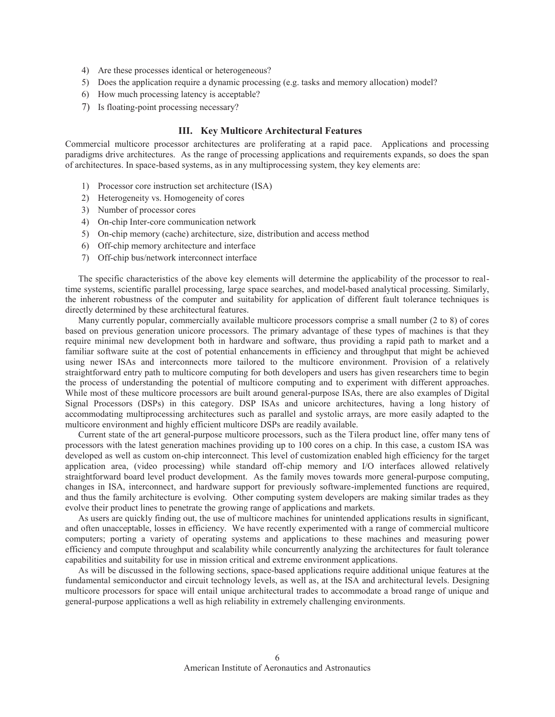- 4) Are these processes identical or heterogeneous?
- 5) Does the application require a dynamic processing (e.g. tasks and memory allocation) model?
- 6) How much processing latency is acceptable?
- 7) Is floating-point processing necessary?

## **III. Key Multicore Architectural Features**

Commercial multicore processor architectures are proliferating at a rapid pace. Applications and processing paradigms drive architectures. As the range of processing applications and requirements expands, so does the span of architectures. In space-based systems, as in any multiprocessing system, they key elements are:

- 1) Processor core instruction set architecture (ISA)
- 2) Heterogeneity vs. Homogeneity of cores
- 3) Number of processor cores
- 4) On-chip Inter-core communication network
- 5) On-chip memory (cache) architecture, size, distribution and access method
- 6) Off-chip memory architecture and interface
- 7) Off-chip bus/network interconnect interface

The specific characteristics of the above key elements will determine the applicability of the processor to realtime systems, scientific parallel processing, large space searches, and model-based analytical processing. Similarly, the inherent robustness of the computer and suitability for application of different fault tolerance techniques is directly determined by these architectural features.

Many currently popular, commercially available multicore processors comprise a small number (2 to 8) of cores based on previous generation unicore processors. The primary advantage of these types of machines is that they require minimal new development both in hardware and software, thus providing a rapid path to market and a familiar software suite at the cost of potential enhancements in efficiency and throughput that might be achieved using newer ISAs and interconnects more tailored to the multicore environment. Provision of a relatively straightforward entry path to multicore computing for both developers and users has given researchers time to begin the process of understanding the potential of multicore computing and to experiment with different approaches. While most of these multicore processors are built around general-purpose ISAs, there are also examples of Digital Signal Processors (DSPs) in this category. DSP ISAs and unicore architectures, having a long history of accommodating multiprocessing architectures such as parallel and systolic arrays, are more easily adapted to the multicore environment and highly efficient multicore DSPs are readily available.

Current state of the art general-purpose multicore processors, such as the Tilera product line, offer many tens of processors with the latest generation machines providing up to 100 cores on a chip. In this case, a custom ISA was developed as well as custom on-chip interconnect. This level of customization enabled high efficiency for the target application area, (video processing) while standard off-chip memory and I/O interfaces allowed relatively straightforward board level product development. As the family moves towards more general-purpose computing, changes in ISA, interconnect, and hardware support for previously software-implemented functions are required, and thus the family architecture is evolving. Other computing system developers are making similar trades as they evolve their product lines to penetrate the growing range of applications and markets.

As users are quickly finding out, the use of multicore machines for unintended applications results in significant, and often unacceptable, losses in efficiency. We have recently experimented with a range of commercial multicore computers; porting a variety of operating systems and applications to these machines and measuring power efficiency and compute throughput and scalability while concurrently analyzing the architectures for fault tolerance capabilities and suitability for use in mission critical and extreme environment applications.

As will be discussed in the following sections, space-based applications require additional unique features at the fundamental semiconductor and circuit technology levels, as well as, at the ISA and architectural levels. Designing multicore processors for space will entail unique architectural trades to accommodate a broad range of unique and general-purpose applications a well as high reliability in extremely challenging environments.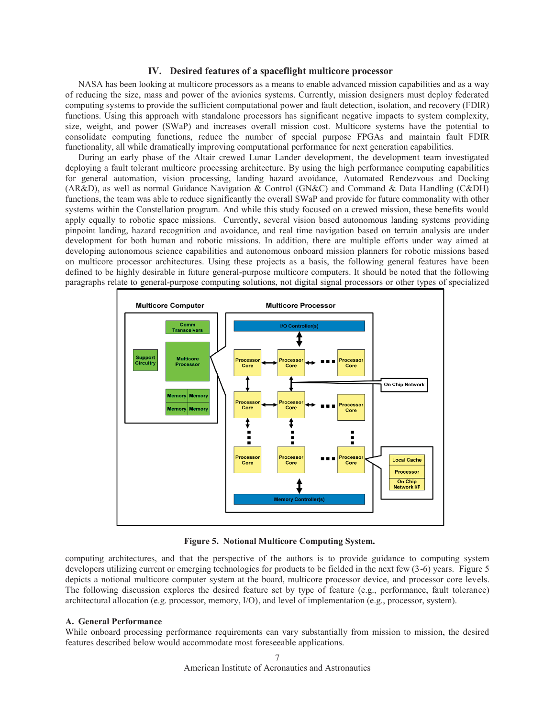# **IV. Desired features of a spaceflight multicore processor**

NASA has been looking at multicore processors as a means to enable advanced mission capabilities and as a way of reducing the size, mass and power of the avionics systems. Currently, mission designers must deploy federated computing systems to provide the sufficient computational power and fault detection, isolation, and recovery (FDIR) functions. Using this approach with standalone processors has significant negative impacts to system complexity, size, weight, and power (SWaP) and increases overall mission cost. Multicore systems have the potential to consolidate computing functions, reduce the number of special purpose FPGAs and maintain fault FDIR functionality, all while dramatically improving computational performance for next generation capabilities.

During an early phase of the Altair crewed Lunar Lander development, the development team investigated deploying a fault tolerant multicore processing architecture. By using the high performance computing capabilities for general automation, vision processing, landing hazard avoidance, Automated Rendezvous and Docking (AR&D), as well as normal Guidance Navigation & Control (GN&C) and Command & Data Handling (C&DH) functions, the team was able to reduce significantly the overall SWaP and provide for future commonality with other systems within the Constellation program. And while this study focused on a crewed mission, these benefits would apply equally to robotic space missions. Currently, several vision based autonomous landing systems providing pinpoint landing, hazard recognition and avoidance, and real time navigation based on terrain analysis are under development for both human and robotic missions. In addition, there are multiple efforts under way aimed at developing autonomous science capabilities and autonomous onboard mission planners for robotic missions based on multicore processor architectures. Using these projects as a basis, the following general features have been defined to be highly desirable in future general-purpose multicore computers. It should be noted that the following paragraphs relate to general-purpose computing solutions, not digital signal processors or other types of specialized



**Figure 5. Notional Multicore Computing System.** 

computing architectures, and that the perspective of the authors is to provide guidance to computing system developers utilizing current or emerging technologies for products to be fielded in the next few (3-6) years. Figure 5 depicts a notional multicore computer system at the board, multicore processor device, and processor core levels. The following discussion explores the desired feature set by type of feature (e.g., performance, fault tolerance) architectural allocation (e.g. processor, memory, I/O), and level of implementation (e.g., processor, system).

## **A. General Performance**

While onboard processing performance requirements can vary substantially from mission to mission, the desired features described below would accommodate most foreseeable applications.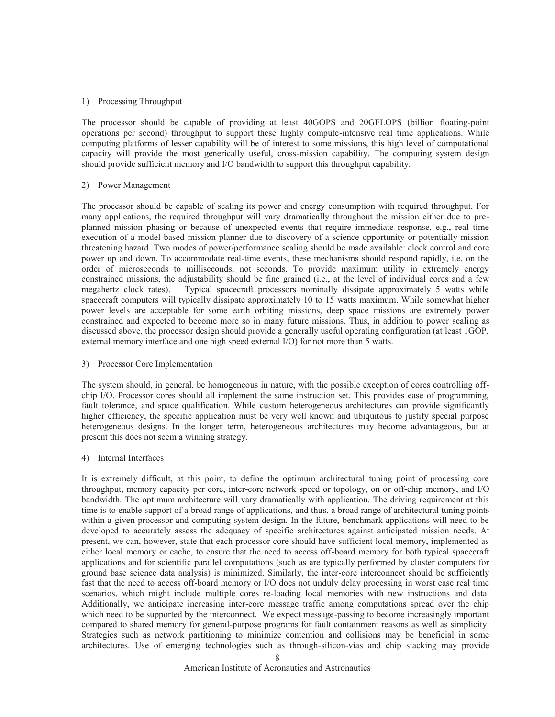## 1) Processing Throughput

The processor should be capable of providing at least 40GOPS and 20GFLOPS (billion floating-point operations per second) throughput to support these highly compute-intensive real time applications. While computing platforms of lesser capability will be of interest to some missions, this high level of computational capacity will provide the most generically useful, cross-mission capability. The computing system design should provide sufficient memory and I/O bandwidth to support this throughput capability.

## 2) Power Management

The processor should be capable of scaling its power and energy consumption with required throughput. For many applications, the required throughput will vary dramatically throughout the mission either due to preplanned mission phasing or because of unexpected events that require immediate response, e.g., real time execution of a model based mission planner due to discovery of a science opportunity or potentially mission threatening hazard. Two modes of power/performance scaling should be made available: clock control and core power up and down. To accommodate real-time events, these mechanisms should respond rapidly, i.e, on the order of microseconds to milliseconds, not seconds. To provide maximum utility in extremely energy constrained missions, the adjustability should be fine grained (i.e., at the level of individual cores and a few megahertz clock rates). Typical spacecraft processors nominally dissipate approximately 5 watts while spacecraft computers will typically dissipate approximately 10 to 15 watts maximum. While somewhat higher power levels are acceptable for some earth orbiting missions, deep space missions are extremely power constrained and expected to become more so in many future missions. Thus, in addition to power scaling as discussed above, the processor design should provide a generally useful operating configuration (at least 1GOP, external memory interface and one high speed external I/O) for not more than 5 watts.

# 3) Processor Core Implementation

The system should, in general, be homogeneous in nature, with the possible exception of cores controlling offchip I/O. Processor cores should all implement the same instruction set. This provides ease of programming, fault tolerance, and space qualification. While custom heterogeneous architectures can provide significantly higher efficiency, the specific application must be very well known and ubiquitous to justify special purpose heterogeneous designs. In the longer term, heterogeneous architectures may become advantageous, but at present this does not seem a winning strategy.

## 4) Internal Interfaces

It is extremely difficult, at this point, to define the optimum architectural tuning point of processing core throughput, memory capacity per core, inter-core network speed or topology, on or off-chip memory, and I/O bandwidth. The optimum architecture will vary dramatically with application. The driving requirement at this time is to enable support of a broad range of applications, and thus, a broad range of architectural tuning points within a given processor and computing system design. In the future, benchmark applications will need to be developed to accurately assess the adequacy of specific architectures against anticipated mission needs. At present, we can, however, state that each processor core should have sufficient local memory, implemented as either local memory or cache, to ensure that the need to access off-board memory for both typical spacecraft applications and for scientific parallel computations (such as are typically performed by cluster computers for ground base science data analysis) is minimized. Similarly, the inter-core interconnect should be sufficiently fast that the need to access off-board memory or I/O does not unduly delay processing in worst case real time scenarios, which might include multiple cores re-loading local memories with new instructions and data. Additionally, we anticipate increasing inter-core message traffic among computations spread over the chip which need to be supported by the interconnect. We expect message-passing to become increasingly important compared to shared memory for general-purpose programs for fault containment reasons as well as simplicity. Strategies such as network partitioning to minimize contention and collisions may be beneficial in some architectures. Use of emerging technologies such as through-silicon-vias and chip stacking may provide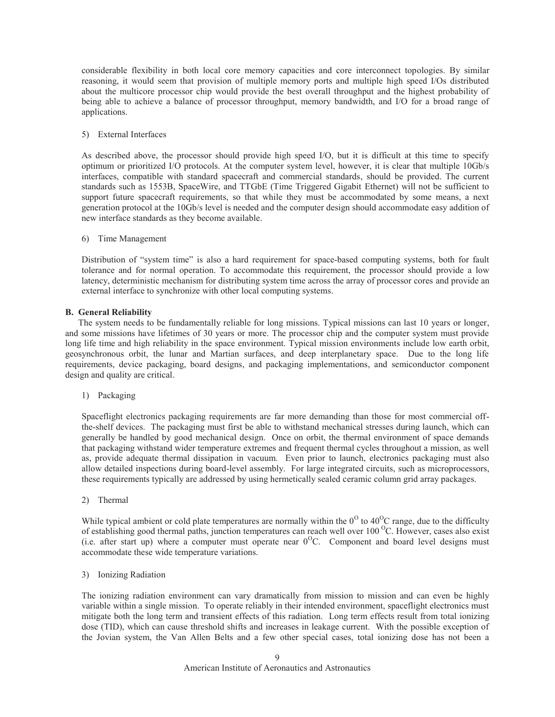considerable flexibility in both local core memory capacities and core interconnect topologies. By similar reasoning, it would seem that provision of multiple memory ports and multiple high speed I/Os distributed about the multicore processor chip would provide the best overall throughput and the highest probability of being able to achieve a balance of processor throughput, memory bandwidth, and I/O for a broad range of applications.

# 5) External Interfaces

As described above, the processor should provide high speed I/O, but it is difficult at this time to specify optimum or prioritized I/O protocols. At the computer system level, however, it is clear that multiple 10Gb/s interfaces, compatible with standard spacecraft and commercial standards, should be provided. The current standards such as 1553B, SpaceWire, and TTGbE (Time Triggered Gigabit Ethernet) will not be sufficient to support future spacecraft requirements, so that while they must be accommodated by some means, a next generation protocol at the 10Gb/s level is needed and the computer design should accommodate easy addition of new interface standards as they become available.

# 6) Time Management

Distribution of "system time" is also a hard requirement for space-based computing systems, both for fault tolerance and for normal operation. To accommodate this requirement, the processor should provide a low latency, deterministic mechanism for distributing system time across the array of processor cores and provide an external interface to synchronize with other local computing systems.

# **B. General Reliability**

The system needs to be fundamentally reliable for long missions. Typical missions can last 10 years or longer, and some missions have lifetimes of 30 years or more. The processor chip and the computer system must provide long life time and high reliability in the space environment. Typical mission environments include low earth orbit, geosynchronous orbit, the lunar and Martian surfaces, and deep interplanetary space. Due to the long life requirements, device packaging, board designs, and packaging implementations, and semiconductor component design and quality are critical.

1) Packaging

Spaceflight electronics packaging requirements are far more demanding than those for most commercial offthe-shelf devices. The packaging must first be able to withstand mechanical stresses during launch, which can generally be handled by good mechanical design. Once on orbit, the thermal environment of space demands that packaging withstand wider temperature extremes and frequent thermal cycles throughout a mission, as well as, provide adequate thermal dissipation in vacuum. Even prior to launch, electronics packaging must also allow detailed inspections during board-level assembly. For large integrated circuits, such as microprocessors, these requirements typically are addressed by using hermetically sealed ceramic column grid array packages.

2) Thermal

While typical ambient or cold plate temperatures are normally within the  $0^{\circ}$  to 40<sup>o</sup>C range, due to the difficulty of establishing good thermal paths, junction temperatures can reach well over 100<sup>o</sup>C. However, cases also exist (i.e. after start up) where a computer must operate near  $0^{\circ}$ C. Component and board level designs must accommodate these wide temperature variations.

3) Ionizing Radiation

The ionizing radiation environment can vary dramatically from mission to mission and can even be highly variable within a single mission. To operate reliably in their intended environment, spaceflight electronics must mitigate both the long term and transient effects of this radiation. Long term effects result from total ionizing dose (TID), which can cause threshold shifts and increases in leakage current. With the possible exception of the Jovian system, the Van Allen Belts and a few other special cases, total ionizing dose has not been a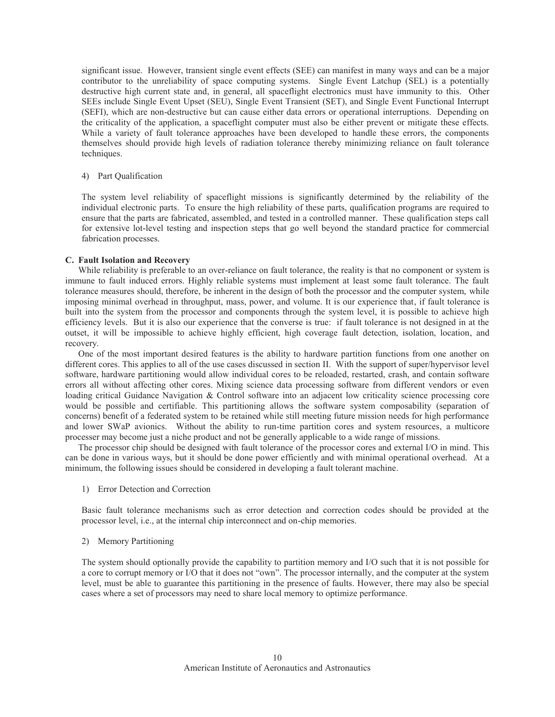significant issue. However, transient single event effects (SEE) can manifest in many ways and can be a major contributor to the unreliability of space computing systems. Single Event Latchup (SEL) is a potentially destructive high current state and, in general, all spaceflight electronics must have immunity to this. Other SEEs include Single Event Upset (SEU), Single Event Transient (SET), and Single Event Functional Interrupt (SEFI), which are non-destructive but can cause either data errors or operational interruptions. Depending on the criticality of the application, a spaceflight computer must also be either prevent or mitigate these effects. While a variety of fault tolerance approaches have been developed to handle these errors, the components themselves should provide high levels of radiation tolerance thereby minimizing reliance on fault tolerance techniques.

## 4) Part Qualification

The system level reliability of spaceflight missions is significantly determined by the reliability of the individual electronic parts. To ensure the high reliability of these parts, qualification programs are required to ensure that the parts are fabricated, assembled, and tested in a controlled manner. These qualification steps call for extensive lot-level testing and inspection steps that go well beyond the standard practice for commercial fabrication processes.

## **C. Fault Isolation and Recovery**

While reliability is preferable to an over-reliance on fault tolerance, the reality is that no component or system is immune to fault induced errors. Highly reliable systems must implement at least some fault tolerance. The fault tolerance measures should, therefore, be inherent in the design of both the processor and the computer system, while imposing minimal overhead in throughput, mass, power, and volume. It is our experience that, if fault tolerance is built into the system from the processor and components through the system level, it is possible to achieve high efficiency levels. But it is also our experience that the converse is true: if fault tolerance is not designed in at the outset, it will be impossible to achieve highly efficient, high coverage fault detection, isolation, location, and recovery.

One of the most important desired features is the ability to hardware partition functions from one another on different cores. This applies to all of the use cases discussed in section II. With the support of super/hypervisor level software, hardware partitioning would allow individual cores to be reloaded, restarted, crash, and contain software errors all without affecting other cores. Mixing science data processing software from different vendors or even loading critical Guidance Navigation & Control software into an adjacent low criticality science processing core would be possible and certifiable. This partitioning allows the software system composability (separation of concerns) benefit of a federated system to be retained while still meeting future mission needs for high performance and lower SWaP avionics. Without the ability to run-time partition cores and system resources, a multicore processer may become just a niche product and not be generally applicable to a wide range of missions.

The processor chip should be designed with fault tolerance of the processor cores and external I/O in mind. This can be done in various ways, but it should be done power efficiently and with minimal operational overhead. At a minimum, the following issues should be considered in developing a fault tolerant machine.

## 1) Error Detection and Correction

Basic fault tolerance mechanisms such as error detection and correction codes should be provided at the processor level, i.e., at the internal chip interconnect and on-chip memories.

## 2) Memory Partitioning

The system should optionally provide the capability to partition memory and I/O such that it is not possible for a core to corrupt memory or I/O that it does not "own". The processor internally, and the computer at the system level, must be able to guarantee this partitioning in the presence of faults. However, there may also be special cases where a set of processors may need to share local memory to optimize performance.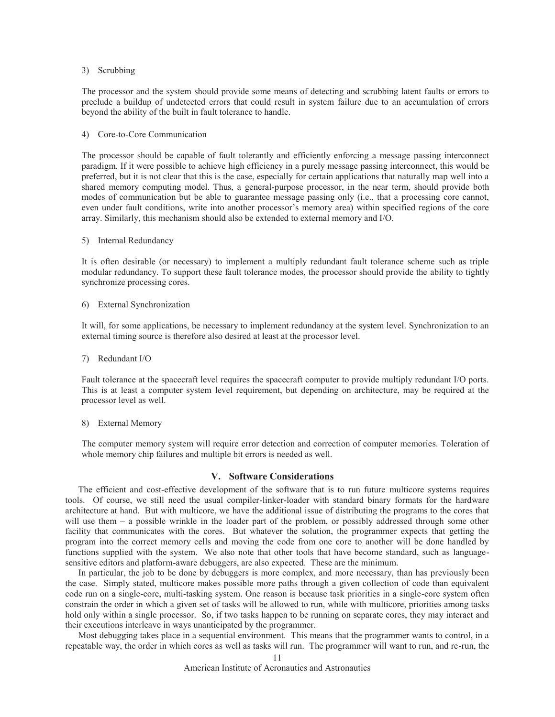#### 3) Scrubbing

The processor and the system should provide some means of detecting and scrubbing latent faults or errors to preclude a buildup of undetected errors that could result in system failure due to an accumulation of errors beyond the ability of the built in fault tolerance to handle.

## 4) Core-to-Core Communication

The processor should be capable of fault tolerantly and efficiently enforcing a message passing interconnect paradigm. If it were possible to achieve high efficiency in a purely message passing interconnect, this would be preferred, but it is not clear that this is the case, especially for certain applications that naturally map well into a shared memory computing model. Thus, a general-purpose processor, in the near term, should provide both modes of communication but be able to guarantee message passing only (i.e., that a processing core cannot, even under fault conditions, write into another processor's memory area) within specified regions of the core array. Similarly, this mechanism should also be extended to external memory and I/O.

#### 5) Internal Redundancy

It is often desirable (or necessary) to implement a multiply redundant fault tolerance scheme such as triple modular redundancy. To support these fault tolerance modes, the processor should provide the ability to tightly synchronize processing cores.

## 6) External Synchronization

It will, for some applications, be necessary to implement redundancy at the system level. Synchronization to an external timing source is therefore also desired at least at the processor level.

## 7) Redundant I/O

Fault tolerance at the spacecraft level requires the spacecraft computer to provide multiply redundant I/O ports. This is at least a computer system level requirement, but depending on architecture, may be required at the processor level as well.

#### 8) External Memory

The computer memory system will require error detection and correction of computer memories. Toleration of whole memory chip failures and multiple bit errors is needed as well.

## **V. Software Considerations**

The efficient and cost-effective development of the software that is to run future multicore systems requires tools. Of course, we still need the usual compiler-linker-loader with standard binary formats for the hardware architecture at hand. But with multicore, we have the additional issue of distributing the programs to the cores that will use them – a possible wrinkle in the loader part of the problem, or possibly addressed through some other facility that communicates with the cores. But whatever the solution, the programmer expects that getting the program into the correct memory cells and moving the code from one core to another will be done handled by functions supplied with the system. We also note that other tools that have become standard, such as languagesensitive editors and platform-aware debuggers, are also expected. These are the minimum.

In particular, the job to be done by debuggers is more complex, and more necessary, than has previously been the case. Simply stated, multicore makes possible more paths through a given collection of code than equivalent code run on a single-core, multi-tasking system. One reason is because task priorities in a single-core system often constrain the order in which a given set of tasks will be allowed to run, while with multicore, priorities among tasks hold only within a single processor. So, if two tasks happen to be running on separate cores, they may interact and their executions interleave in ways unanticipated by the programmer.

Most debugging takes place in a sequential environment. This means that the programmer wants to control, in a repeatable way, the order in which cores as well as tasks will run. The programmer will want to run, and re-run, the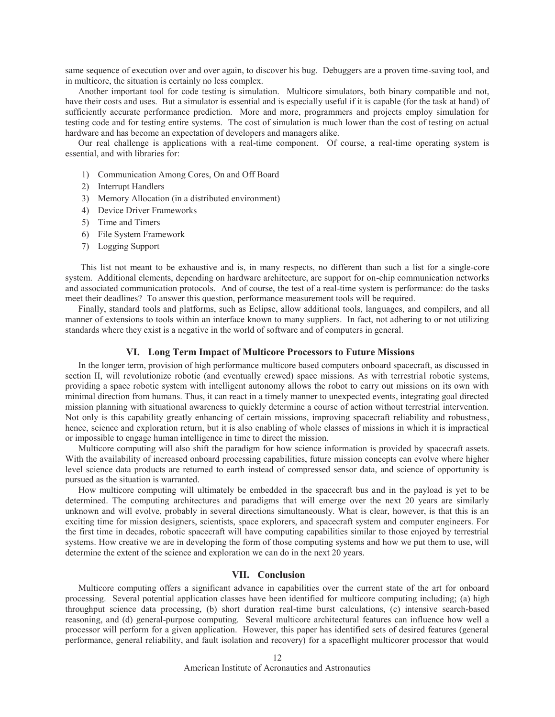same sequence of execution over and over again, to discover his bug. Debuggers are a proven time-saving tool, and in multicore, the situation is certainly no less complex.

Another important tool for code testing is simulation. Multicore simulators, both binary compatible and not, have their costs and uses. But a simulator is essential and is especially useful if it is capable (for the task at hand) of sufficiently accurate performance prediction. More and more, programmers and projects employ simulation for testing code and for testing entire systems. The cost of simulation is much lower than the cost of testing on actual hardware and has become an expectation of developers and managers alike.

Our real challenge is applications with a real-time component. Of course, a real-time operating system is essential, and with libraries for:

- 1) Communication Among Cores, On and Off Board
- 2) Interrupt Handlers
- 3) Memory Allocation (in a distributed environment)
- 4) Device Driver Frameworks
- 5) Time and Timers
- 6) File System Framework
- 7) Logging Support

 This list not meant to be exhaustive and is, in many respects, no different than such a list for a single-core system. Additional elements, depending on hardware architecture, are support for on-chip communication networks and associated communication protocols. And of course, the test of a real-time system is performance: do the tasks meet their deadlines? To answer this question, performance measurement tools will be required.

Finally, standard tools and platforms, such as Eclipse, allow additional tools, languages, and compilers, and all manner of extensions to tools within an interface known to many suppliers. In fact, not adhering to or not utilizing standards where they exist is a negative in the world of software and of computers in general.

## **VI. Long Term Impact of Multicore Processors to Future Missions**

In the longer term, provision of high performance multicore based computers onboard spacecraft, as discussed in section II, will revolutionize robotic (and eventually crewed) space missions. As with terrestrial robotic systems, providing a space robotic system with intelligent autonomy allows the robot to carry out missions on its own with minimal direction from humans. Thus, it can react in a timely manner to unexpected events, integrating goal directed mission planning with situational awareness to quickly determine a course of action without terrestrial intervention. Not only is this capability greatly enhancing of certain missions, improving spacecraft reliability and robustness, hence, science and exploration return, but it is also enabling of whole classes of missions in which it is impractical or impossible to engage human intelligence in time to direct the mission.

Multicore computing will also shift the paradigm for how science information is provided by spacecraft assets. With the availability of increased onboard processing capabilities, future mission concepts can evolve where higher level science data products are returned to earth instead of compressed sensor data, and science of opportunity is pursued as the situation is warranted.

How multicore computing will ultimately be embedded in the spacecraft bus and in the payload is yet to be determined. The computing architectures and paradigms that will emerge over the next 20 years are similarly unknown and will evolve, probably in several directions simultaneously. What is clear, however, is that this is an exciting time for mission designers, scientists, space explorers, and spacecraft system and computer engineers. For the first time in decades, robotic spacecraft will have computing capabilities similar to those enjoyed by terrestrial systems. How creative we are in developing the form of those computing systems and how we put them to use, will determine the extent of the science and exploration we can do in the next 20 years.

# **VII. Conclusion**

Multicore computing offers a significant advance in capabilities over the current state of the art for onboard processing. Several potential application classes have been identified for multicore computing including; (a) high throughput science data processing, (b) short duration real-time burst calculations, (c) intensive search-based reasoning, and (d) general-purpose computing. Several multicore architectural features can influence how well a processor will perform for a given application. However, this paper has identified sets of desired features (general performance, general reliability, and fault isolation and recovery) for a spaceflight multicorer processor that would

> American Institute of Aeronautics and Astronautics 12